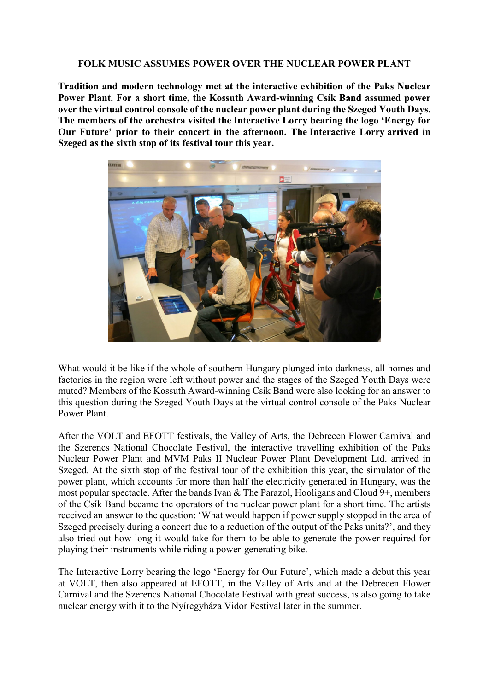## **FOLK MUSIC ASSUMES POWER OVER THE NUCLEAR POWER PLANT**

**Tradition and modern technology met at the interactive exhibition of the Paks Nuclear Power Plant. For a short time, the Kossuth Award-winning Csík Band assumed power over the virtual control console of the nuclear power plant during the Szeged Youth Days. The members of the orchestra visited the Interactive Lorry bearing the logo 'Energy for Our Future' prior to their concert in the afternoon. The Interactive Lorry arrived in Szeged as the sixth stop of its festival tour this year.**



What would it be like if the whole of southern Hungary plunged into darkness, all homes and factories in the region were left without power and the stages of the Szeged Youth Days were muted? Members of the Kossuth Award-winning Csík Band were also looking for an answer to this question during the Szeged Youth Days at the virtual control console of the Paks Nuclear Power Plant.

After the VOLT and EFOTT festivals, the Valley of Arts, the Debrecen Flower Carnival and the Szerencs National Chocolate Festival, the interactive travelling exhibition of the Paks Nuclear Power Plant and MVM Paks II Nuclear Power Plant Development Ltd. arrived in Szeged. At the sixth stop of the festival tour of the exhibition this year, the simulator of the power plant, which accounts for more than half the electricity generated in Hungary, was the most popular spectacle. After the bands Ivan & The Parazol, Hooligans and Cloud 9+, members of the Csík Band became the operators of the nuclear power plant for a short time. The artists received an answer to the question: 'What would happen if power supply stopped in the area of Szeged precisely during a concert due to a reduction of the output of the Paks units?', and they also tried out how long it would take for them to be able to generate the power required for playing their instruments while riding a power-generating bike.

The Interactive Lorry bearing the logo 'Energy for Our Future', which made a debut this year at VOLT, then also appeared at EFOTT, in the Valley of Arts and at the Debrecen Flower Carnival and the Szerencs National Chocolate Festival with great success, is also going to take nuclear energy with it to the Nyíregyháza Vidor Festival later in the summer.